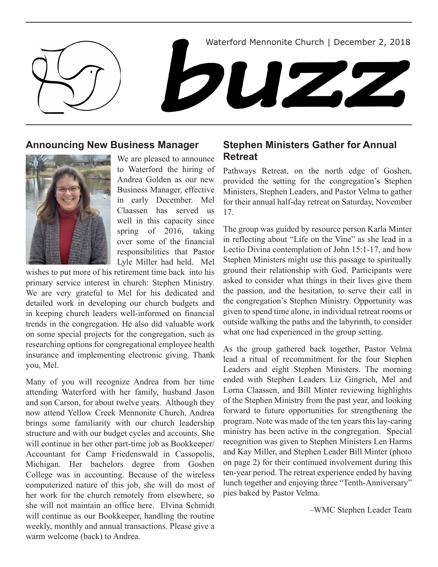Waterford Mennonite Church | December 2, 2018



## **Announcing New Business Manager**



We are pleased to announce to Waterford the hiring of Andrea Golden as our new Business Manager, effective in early December. Mel Claassen has served us well in this capacity since spring of 2016, taking over some of the financial responsibilities that Pastor Lyle Miller had held. Mel

wishes to put more of his retirement time back into his primary service interest in church: Stephen Ministry. We are very grateful to Mel for his dedicated and detailed work in developing our church budgets and in keeping church leaders well-informed on financial trends in the congregation. He also did valuable work on some special projects for the congregation, such as researching options for congregational employee health insurance and implementing electronic giving. Thank you, Mel.

Many of you will recognize Andrea from her time attending Waterford with her family, husband Jason and son Carson, for about twelve years. Although they now attend Yellow Creek Mennonite Church, Andrea brings some familiarity with our church leadership structure and with our budget cycles and accounts. She will continue in her other part-time job as Bookkeeper/ Accountant for Camp Friedenswald in Cassopolis, Michigan. Her bachelors degree from Goshen College was in accounting. Because of the wireless computerized nature of this job, she will do most of her work for the church remotely from elsewhere, so she will not maintain an office here. Elvina Schmidt will continue as our Bookkeeper, handling the routine weekly, monthly and annual transactions. Please give a warm welcome (back) to Andrea.

## **Stephen Ministers Gather for Annual Retreat**

Pathways Retreat, on the north edge of Goshen, provided the setting for the congregation's Stephen Ministers, Stephen Leaders, and Pastor Velma to gather for their annual half-day retreat on Saturday, November 17.

The group was guided by resource person Karla Minter in reflecting about "Life on the Vine" as she lead in a Lectio Divina contemplation of John 15:1-17, and how Stephen Ministers might use this passage to spiritually ground their relationship with God. Participants were asked to consider what things in their lives give them the passion, and the hesitation, to serve their call in the congregation's Stephen Ministry. Opportunity was given to spend time alone, in individual retreat rooms or outside walking the paths and the labyrinth, to consider what one had experienced in the group setting.

As the group gathered back together, Pastor Velma lead a ritual of recommitment for the four Stephen Leaders and eight Stephen Ministers. The morning ended with Stephen Leaders Liz Gingrich, Mel and Lorna Claassen, and Bill Minter reviewing highlights of the Stephen Ministry from the past year, and looking forward to future opportunities for strengthening the program. Note was made of the ten years this lay-caring ministry has been active in the congregation. Special recognition was given to Stephen Ministers Len Harms and Kay Miller, and Stephen Leader Bill Minter (photo on page 2) for their continued involvement during this ten-year period. The retreat experience ended by having lunch together and enjoying three "Tenth-Anniversary" pies baked by Pastor Velma.

–WMC Stephen Leader Team